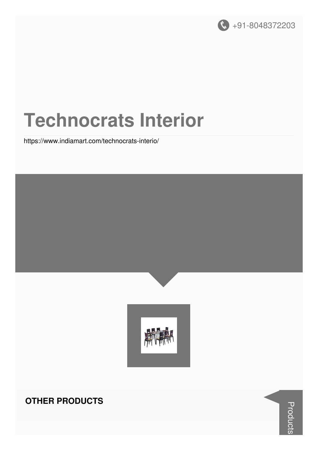

# **Technocrats Interior**

https://www.indiamart.com/technocrats-interio/



#### **OTHER PRODUCTS**

**Products**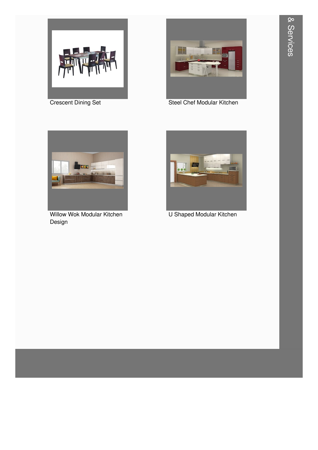

**Crescent Dining Set** 



**Steel Chef Modular Kitchen** 



**Willow Wok Modular Kitchen** Design



**U Shaped Modular Kitchen**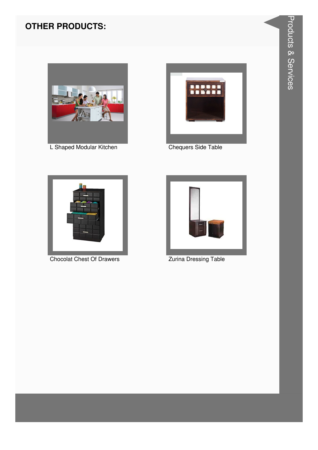

L Shaped Modular Kitchen



**Chequers Side Table** 



**Chocolat Chest Of Drawers** 



**Zurina Dressing Table**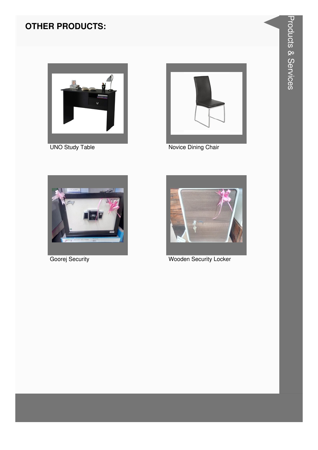

**UNO Study Table** 



Novice Dining Chair



Goorej Security



**Wooden Security Locker**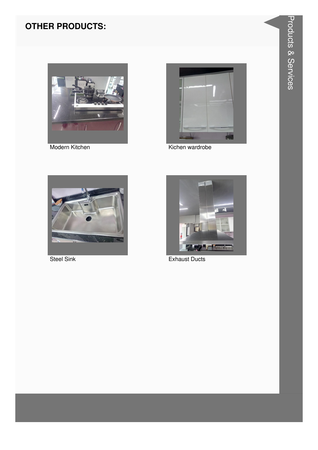

Modern Kitchen



Kichen wardrobe



**Steel Sink** 



**Exhaust Ducts**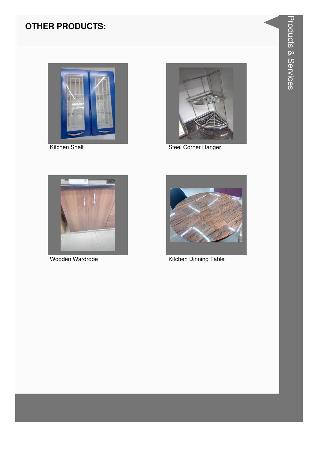

Kitchen Shelf



**Steel Corner Hanger** 



Wooden Wardrobe



Kitchen Dinning Table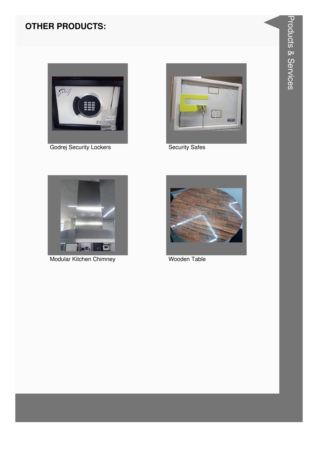

Godrej Security Lockers



**Security Safes** 



Modular Kitchen Chimney



**Wooden Table**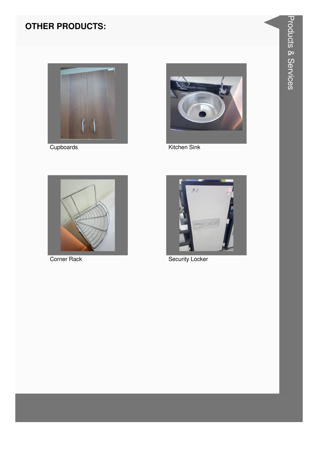

Cupboards



Kitchen Sink



**Corner Rack** 



**Security Locker**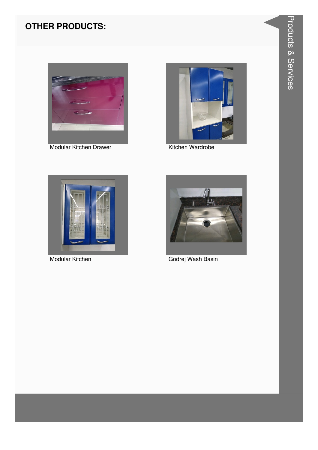

Modular Kitchen Drawer



Kitchen Wardrobe



Modular Kitchen



Godrej Wash Basin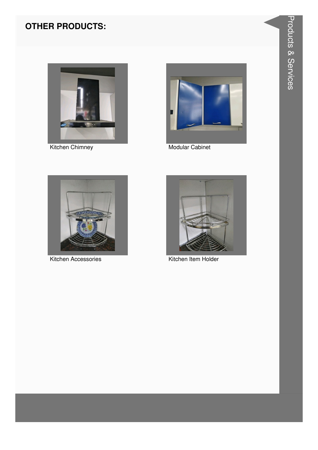

**Kitchen Chimney** 



Modular Cabinet



Kitchen Accessories



Kitchen Item Holder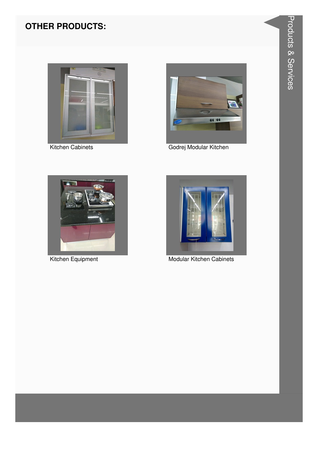

Kitchen Cabinets



Godrej Modular Kitchen



Kitchen Equipment



**Modular Kitchen Cabinets**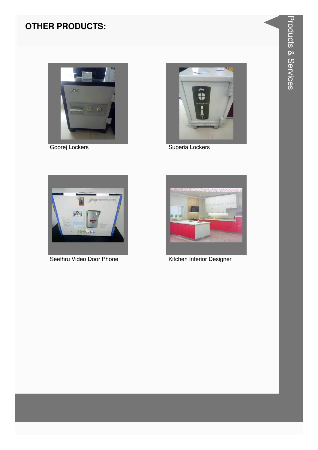

Goorej Lockers



Superia Lockers



Seethru Video Door Phone



Kitchen Interior Designer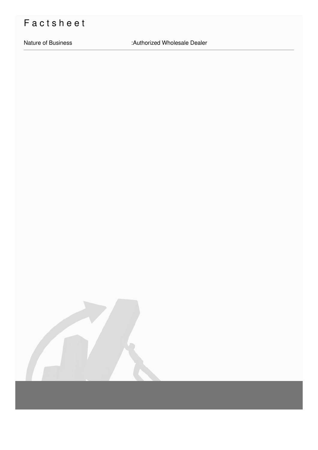## Factsheet

Nature of Business : Authorized Wholesale Dealer